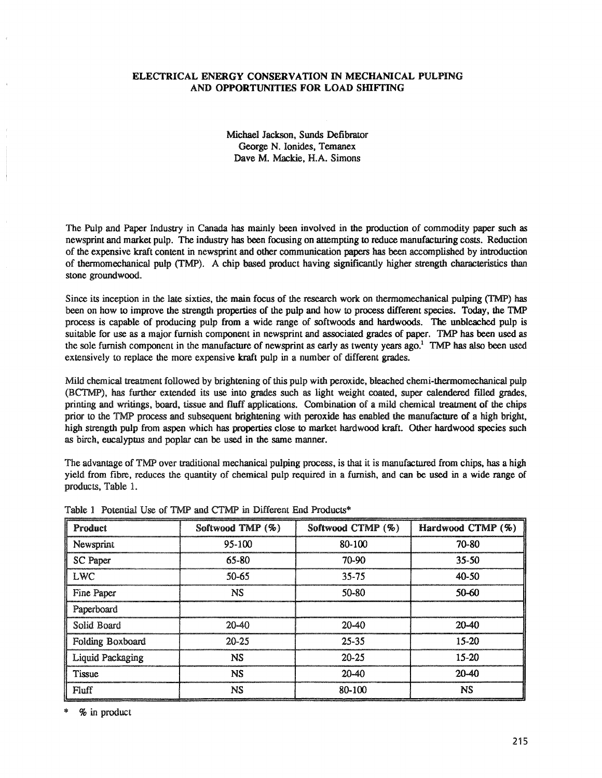## ELECTRICAL ENERGY CONSERVATION IN MECHANICAL PULPING AND OPPORTUNITIES FOR LOAD SHIFTING

Michael Jackson, Sunds Defibrator George N. Ionides, Temanex Dave M. Mackie, H.A. Simons

The Pulp and Paper Industry in Canada has mainly been involved in the production of commodity paper such as newsprint and market pulp. The industry has been focusing on attempting to reduce manufacturing costs. Reduction of the expensive kraft content in newsprint and other communication papers has been accomplished by introduction of thermomechanical pulp (TMP). A chip based product having significantly higher strength characteristics than stone groundwood.

Since its inception in the late sixties, the main focus of the research work on thermomechanical pulping (TMP) has been on how to improve the strength properties of the pulp and how to process different species. Today, the TMP process is capable of producing pulp from a wide range of softwoods and hardwoods. The unbleached pulp is suitable for use as a major furnish component in newsprint and associated grades of paper. TMP has been used as the sole furnish component in the manufacture of newsprint as early as twenty years ago.<sup>1</sup> TMP has also been used extensively to replace the more expensive kraft pulp in a number of different grades.

Mild chemical treatment followed by brightening of this pulp with peroxide, bleached chemi-thermomechanical pulp (BCTMP), has further extended its use into grades such as light weight coated, super calendered filled grades, printing and writings, board, tissue and fluff applications.. Combination of a mild chemical treatment of the chips prior to the TMP process and subsequent brightening with peroxide has enabled the manufacture of a high bright, high strength pulp from aspen which has properties close to market hardwood kraft. Other hardwood species such as birch, eucalyptus and poplar can be used in the same manner.

The advantage of TMP over traditional mechanical pulping process, is that it is manufactured from chips, has a high yield from fibre, reduces the quantity of chemical pulp required in a furnish, and can be used in a wide range of products, Table 1..

| Product                 | Softwood TMP (%) |           | Hardwood CTMP (%) |  |
|-------------------------|------------------|-----------|-------------------|--|
| Newsprint               | 95-100           | 80-100    | 70-80             |  |
| SC Paper                | 65-80            | 70-90     | $35 - 50$         |  |
| <b>LWC</b>              | 50-65            | 35-75     | 40-50             |  |
| Fine Paper              | <b>NS</b>        | 50-80     | 50-60             |  |
| Paperboard              |                  |           |                   |  |
| Solid Board             | $20 - 40$        |           | $20-40$           |  |
| Folding Boxboard        | $20 - 25$        | $25 - 35$ | 15-20             |  |
| <b>Liquid Packaging</b> | NS               | $20 - 25$ | $15-20$           |  |
| <b>Tissue</b>           | NS               | 20-40     | $20 - 40$         |  |
| Fluff                   | NS               | 80-100    | <b>NS</b>         |  |

Table 1 Potential Use of TMP and CTMP in Different End Products\*

% in product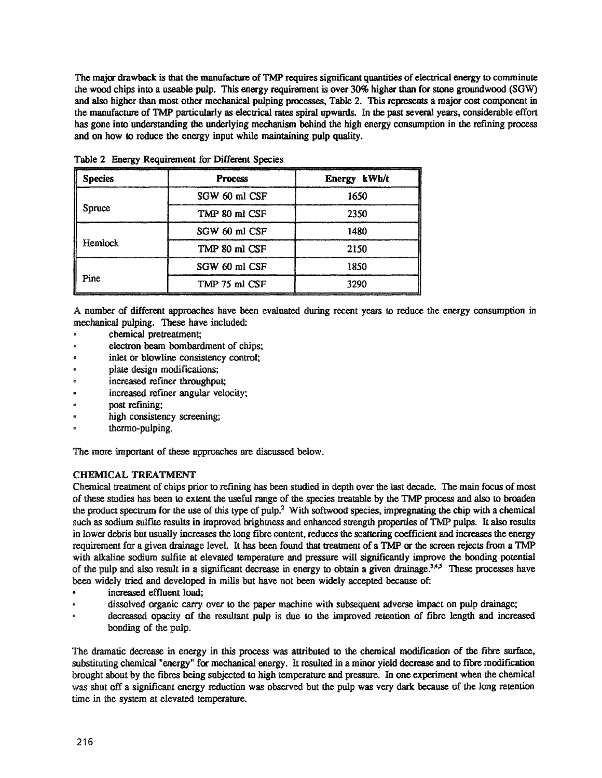The major drawback is that the manufacture of TMP requires significant quantities of electrical energy to comminute the wood chips into a useable pulp. This energy requirement is over 30% higher than for stone groundwood (SGW) and also higher than most other mechanical pulping processes, Table 2. This represents a major cost component in the manufacture of TMP particularly as electrical rates spiral upwards. In the past several years, considerable effort has gone into understanding the underlying mechanism behind the high energy consumption in the refining process and on how to reduce the energy input while maintaining pulp quality.

| <b>pecies</b>  | <b>Process</b> | Energy kWh/t |  |
|----------------|----------------|--------------|--|
|                | SGW 60 ml CSF  | 1650         |  |
| <b>Spruce</b>  | TMP 80 ml CSF  | 2350         |  |
|                | SGW 60 ml CSF  | 1480         |  |
| <b>Hemlock</b> | TMP 80 ml CSF  | 2150         |  |
|                | SGW 60 ml CSF  | 1850         |  |
| Pine           | TMP 75 ml CSF  | 3290         |  |

Table 2 Energy Requirement for Different Species

A number of different approaches have been evaluated during recent years to reduce the energy consumption in mechanical pulping. These have included:

- chemical pretreatment;
- electron beam bombardment of chips;
- inlet or blowline consistency control;
- plate design modifications;
- increased refmer throughput;
- increased refiner angular velocity;
- post refining;
- high consistency screening;
- thermo-pulping.

The more important of these approaches are discussed below.

## CHEMICAL TREATMENT

Chemical treatment of chips prior to refining has been studied in depth over the last decade. The main focus of most of these studies has been to extent the useful range of the species treatable by the TMP process and also to broaden the product spectrum for the use of this type of pulp.2 With softwood species, impregnating the chip with a chemical such as sodium sulfite results in improved brightness and enhanced strength properties of TMP pulps. It also results in lower debris but usually increases the long fibre content, reduces the scattering coefficient and increases the energy requirement for a given drainage level. It has been found that treatment of a TMP or the screen rejects from a TMP with alkaline sodium sulfite at elevated temperature and pressure will significantly improve the bonding potential of the pulp and also result in a significant decrease in energy to obtain a given drainage.<sup>3,4,5</sup> These processes have been widely tried and developed in mills but have not been widely accepted because of:

- increased effluent load;
- dissolved organic carry over to the paper machine with subsequent adverse impact on pulp drainage;
- decreased opacity of the resultant pulp is due to the improved retention of fibre length and increased bonding of the pulp.

The dramatic decrease in energy in this process was attributed to the chemical modification of the fibre surface, substituting chemical "energy" for mechanical energy. It resulted in a minor yield decrease and to fibre modification brought about by the fibres being subjected to high temperature and pressure.. In one experiment when the chemical was shut off a significant energy reduction was observed but the pulp was very dark because of the long retention time in the system at elevated temperature.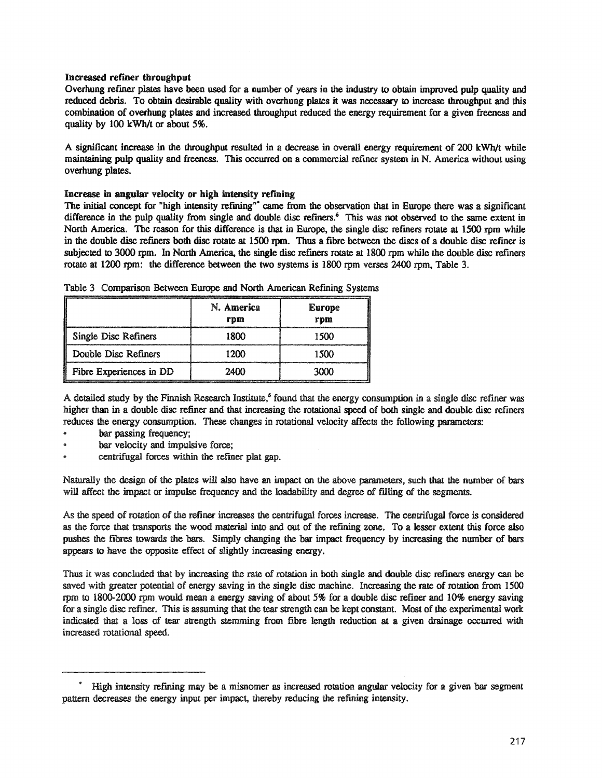### Increased refiner throughput

Overhung refiner plates have been used for a number of years in the industry to obtain improved pulp quality and reduced debris. To obtain desirable quality with overhung plates it was necessary to increase throughput and this combination of overhung plates and increased throughput reduced the energy requirement for a given freeness and quality by 100 kWb/t or about 5%.

A significant increase in the throughput resulted in a decrease in overall energy requirement of 200 kWb/t while maintaining pulp quality and freeness. This occurred on a commercial refiner system in N. America without using overhung plates.

### Increase in angular velocity or high intensity refining

The initial concept for "high intensity refining"<sup>\*</sup> came from the observation that in Europe there was a significant difference in the pulp quality from single and double disc refiners.<sup>6</sup> This was not observed to the same extent in North America. The reason for this difference is that in Europe, the single disc refiners rotate at 1500 rpm while in the double disc refmers both disc rotate at 1500 rpm. Thus a fibre between the discs of a double disc refiner is subjected to 3000 rpm. In North America, the single disc refiners rotate at 1800 rpm while the double disc refiners rotate at 1200 rpm: the difference between the two systems is 1800 rpm verses 2400 rpm, Table 3..

|                             | N. America<br>rpm | <b>Europe</b><br>rpm |
|-----------------------------|-------------------|----------------------|
| <b>Single Disc Refiners</b> | 1800              | 1500                 |
| Double Disc Refiners        | 12M               | 1500                 |
| Fibre Experiences in DD     | 24M               | 3000                 |

Table 3 Comparison Between Europe and North American Refming Systems

A detailed study by the Finnish Research Institute,<sup>6</sup> found that the energy consumption in a single disc refiner was higher than in a double disc refiner and that increasing the rotational speed of both single and double disc refiners reduces the energy consumption.. These changes in rotational velocity affects the following parameters:

- bar passing frequency;
- bar velocity and impulsive force;
- centrifugal forces within the refiner plat gap..

Naturally the design of the plates will also have an impact on the above parameters, such that the number of bars will affect the impact or impulse frequency and the loadability and degree of filling of the segments.

As the speed of rotation of the refiner increases the centrifugal forces increase. The centrifugal force is considered as the force that transports the wood material into and out of the refining zone. To a lesser extent this force also pushes the fibres towards the bars. Simply changing the bar impact frequency by increasing the number of bars appears to have the opposite effect of slightly increasing energy.

Thus it was concluded that by increasing the rate of rotation in both single and double disc refiners energy can be saved with greater potential of energy saving in the single disc machine. Increasing the rate of rotation from 1500 rpm to 1800-2000 rpm would mean a energy saving of about 5% for a double disc refiner and 10% energy saving for a single disc refiner. This is assuming that the tear strength can be kept constant. Most of the experimental work indicated that a loss of tear strength stemming from fibre length reduction at a given drainage occurred with increased rotational speed.

<sup>\*</sup> High intensity refining may be a misnomer as increased rotation angular velocity for a given bar segment pattern decreases the energy input per impact, thereby reducing the refining intensity.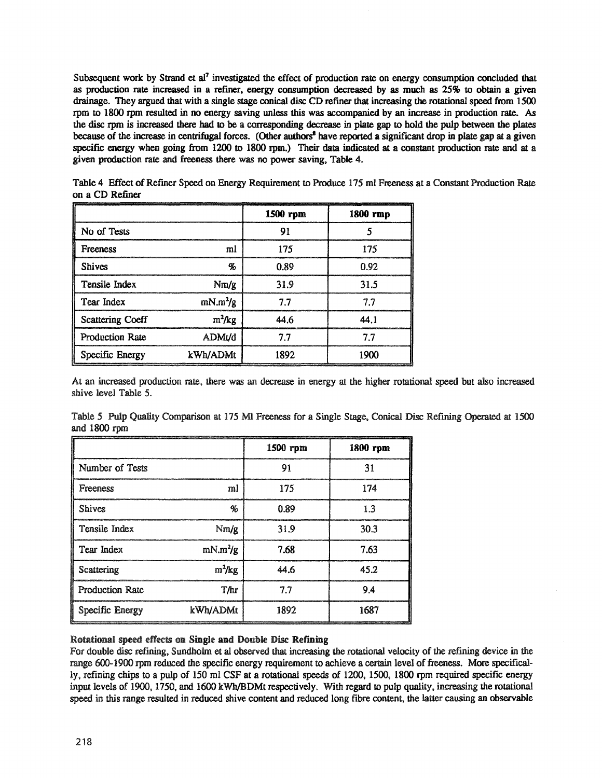Subsequent work by Strand et al<sup>7</sup> investigated the effect of production rate on energy consumption concluded that as production rate increased in a refiner, energy consumption decreased by as much as 25% to obtain a given drainage. They argued that with a single stage conical disc CD refiner that increasing the rotational speed from 1500 rpm to 1800 rpm resulted in no energy saving unless this was accompanied by an increase in production rate. As the disc rpm is increased there had to be a corresponding decrease in plate gap to hold the pulp between the plates because of the increase in centrifugal forces. (Other authors<sup>8</sup> have reported a significant drop in plate gap at a given specific energy when going from 1200 to 1800 rpm.) Their data indicated at a constant production rate and at a given production rate and freeness there was no power saving, Table 4.

|                         |            | 1500 rpm | 1800 rmp |
|-------------------------|------------|----------|----------|
| No of Tests             |            | 91       |          |
| <b>Freeness</b>         | ml         | 175      | 175      |
| <b>Shives</b>           | oj,        | 0.89     | 0.92     |
| Tensile Index           | Nm/g       | 31.9     | 31.5     |
| Tear Index              | $mN.m^2/g$ | 77       | 77       |
| <b>Scattering Coeff</b> | $m^2/kg$   | 44.6     | 44 I     |
| <b>Production Rate</b>  | ADMt/d     | 77       | 77       |
| Specific Energy         | kWh/ADMt   | 1892     | 1900     |

Table 4 Effect of Refiner Speed on Energy Requirement to Produce 175 ml Freeness at a Constant Production Rate on a CD Refiner

At an increased production rate, there was an decrease in energy at the higher rotational speed but also increased shive level Table 5.

Table 5 Pulp Quality Comparison at 175 Ml Freeness for a Single Stage, Conical Disc Refining Operated at 1500 and 1800 rpm

|                        |            | 1500 rpm | 1800 rpm |
|------------------------|------------|----------|----------|
| Number of Tests        |            | 91       | 31       |
| <b>Freeness</b>        | ml         | 175      | 174      |
| <b>Shives</b>          | q,         | 0.89     | 1.3      |
| Tensile Index          | Nm/g       | 31.9     | 30.3     |
| Tear Index             | $mN.m^2/g$ | 7.68     | 7.63     |
| Scattering             | $m^2/kg$   | 44 G     | 45.2     |
| <b>Production Rate</b> | T/hr       | 7.7      | 9.4      |
| Specific Energy        | kWh/ADMt   | 1892     | 1687     |

## Rotational speed effects on Single and Double Disc Refining

For double disc refining, Sundholm et al observed that increasing the rotational velocity of the refining device in the range 600-1900 rpm reduced the specific energy requirement to achieve a certain level of freeness. More specifically, refining chips to a pulp of 150 ml CSF at a rotational speeds of 1200, 1500, 1800 rpm required specific energy input levels of 1900, 1750, and 1600 kWb/BDMt respectively. With regard to pulp quality, increasing the rotational speed in this range resulted in reduced shive content and reduced long fibre content, the latter causing an observable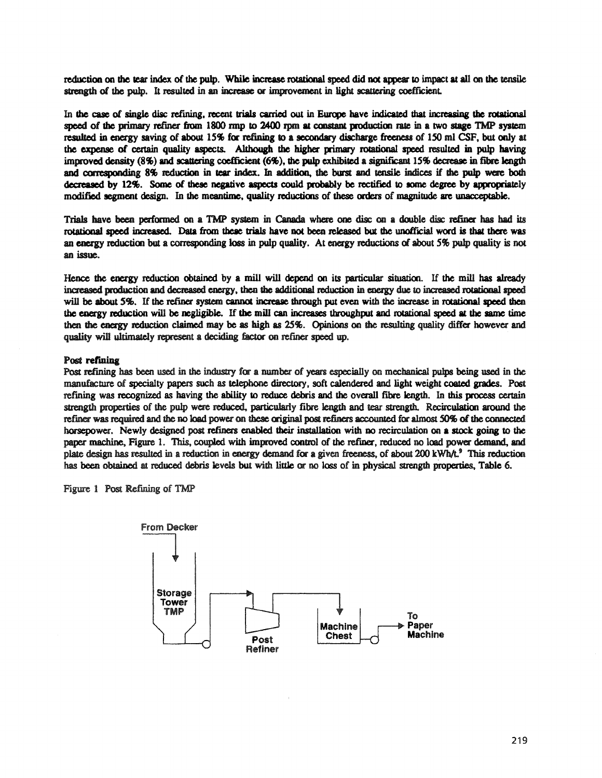reduction on the tear index of the pulp. While increase rotational speed did not appear to impact at all on the tensile strength of the pulp. It resulted in an increase or improvement in light scattering coefficient.

In the case of single disc refining, recent trials carried out in Europe have indicated that increasing the rotational speed of the primary refiner from 1800 rmp to 2400 rpm at constant production rate in a two stage TMP system resulted in energy saving of about 15% for refining to a secondary discharge freeness of 150 ml CSF, but only at the expense of certain quality aspects. Although the higher primary rotational speed resulted in pulp having improved density (8%) and scattering coefficient (6%), the pulp exhibited a significant 15% decrease in fibre length and corresponding 8% reduction in tear index. In addition, the burst and tensile indices if the pulp were both decreased by 12%. Some of these negative aspects could probably be rectified to some degree by appropriately modified segment design. In the meantime, quality reductions of these orders of magnitude are unacceptable.

Trials have been performed on a TMP system in Canada where one disc on a double disc refiner has had its rotational speed increased. Data from these trials have not been released but the unofficial word is that there was an energy reduction but a corresponding loss in pulp quality. At energy reductions of about 5% pulp quality is not an issue.

Hence the energy reduction obtained by a mill will depend on its particular situation. If the mill has already increased production and decreased energy, then the additional reduction in energy due to increased rotational speed will be about 5%. If the refiner system cannot increase through put even with the increase in rotational speed then the energy reduction will be negligible. If the mill can increases throughput and rotational speed at the same time then the energy reduction claimed may be as high as 25%. Opinions on the resulting quality differ however and quality will ultimately represent a deciding factor on refiner speed up.

#### Post refining

Post refining has been used in the industry for a number of years especially on mechanical pulps being used in the manufacture of specialty papers such as telephone directory, soft calendered and light weight coated grades. Post refining was recognized as having the ability to reduce debris and the overall fibre length. In this process certain strength properties of the pulp were reduced, particularly fibre length and tear strength. Recirculation around the refiner was required and the no load power on these original post refiners accounted for almost 50% of the connected horsepower. Newly designed post refiners enabled their installation with no recirculation on a stock going to the paper machine, Figure 1. This, coupled with improved control of the refiner, reduced no load power demand, and plate design has resulted in a reduction in energy demand for a given freeness, of about 200 kWh/t.<sup>9</sup> This reduction has been obtained at reduced debris levels but with little or no loss of in physical strength properties, Table 6.

Figure 1 Post Refining of TMP

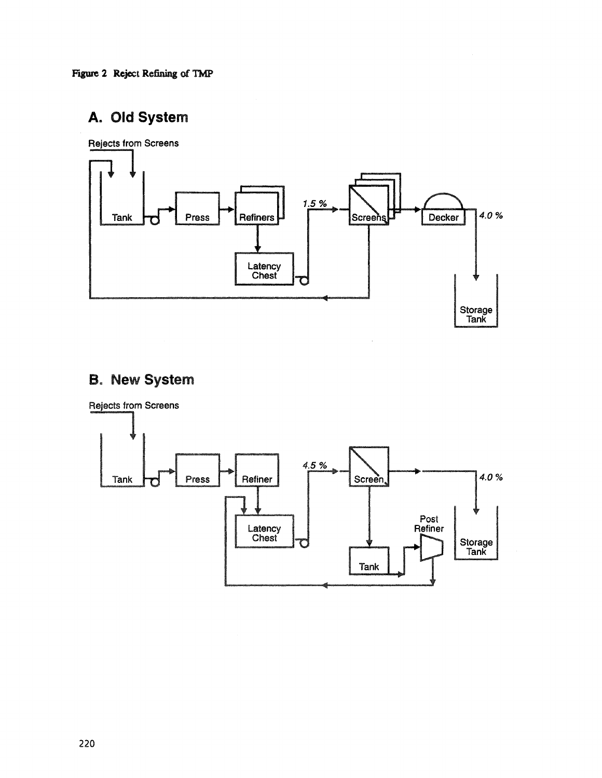Figure 2 Reject Refining of TMP

# A. **Old** System



# **B. New System**

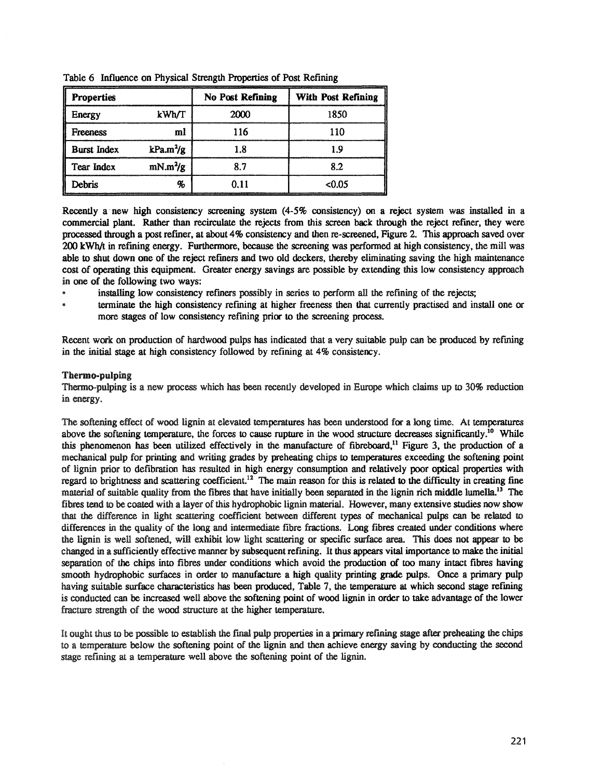| <b>Properties</b>  |                       | <b>No Post Refining</b> | <b>With Post Refining</b> |
|--------------------|-----------------------|-------------------------|---------------------------|
| Energy             | kWh/T                 | 2000                    | 1850                      |
| <b>Freeness</b>    | ml                    | 116                     | 110                       |
| <b>Burst Index</b> | kPa.m <sup>2</sup> /g |                         |                           |
| Tear Index         | $mN.m^2/g$            |                         | 82                        |
| Debris             | q,                    | 0.11                    | < 0.05                    |

Table 6 Influence on Physical Strength Properties of Post Refining

Recently a new high consistency screening system (4-5% consistency) on a reject system was installed in a commercial plant. Rather than recirculate the rejects from this screen back through the reject fermer, they were processed through a post refiner, at about 4% consistency and then re-screened, Figure 2. This approach saved over 200 kWh/t in refming energy. Furthennore, because the screening was performed at high consistency, the mill was able to shut down one of the reject refiners and two old deckers, thereby eliminating saving the high maintenance cost of operating this equipment. Greater energy savings are possible by extending this low consistency approach in one of the following two ways:

- installing low consistency refiners possibly in series to perform all the refining of the rejects;
- terminate the high consistency refining at higher freeness then that currently practised and install one or more stages of low consistency refining prior to the screening process.

Recent work on production of hardwood pulps has indicated that a very suitable pulp can be produced by refming in the initial stage at high consistency followed by refining at  $4\%$  consistency.

## Thermo-pulping

Thermo-pulping is a new process which has been recently developed in Europe which claims up to 30% reduction in energy.

The softening effect of wood lignin at elevated temperatures has been understood for a long time.. At temperatures above the softening temperature, the forces to cause rupture in the wood structure decreases significantly.<sup>10</sup> While this phenomenon has been utilized effectively in the manufacture of fibreboard, $^{11}$  Figure 3, the production of a mechanical pulp for printing and writing grades by preheating chips to temperatures exceeding the softening point of lignin prior to defibratioo has resulted in high energy consumption and relatively poor optical properties with regard to brightness and scattering coefficient.<sup>12</sup> The main reason for this is related to the difficulty in creating fine material of suitable quality from the fibres that have initially been separated in the lignin rich middle lumella.<sup>13</sup> The fibres tend to be coated with a layer of this hydrophobic lignin material. However, many extensive studies now show that the difference in light scattering coefficient between different types of mechanical pulps can be related to differences in the quality of the long and intermediate fibre fractions. Long fibres created under conditions where the lignin is well softened, will exhibit low light scattering or specific swface area. This does not appear to be changed in a sufficiently effective manner by subsequentrefming. It thus appears vital importance to make the initial separation of the chips into fibres under conditions which avoid the production of too many intact fibres having smooth hydrophobic surfaces in order to manufacture a high quality printing grade pulps. Once a primary pulp having suitable surface characteristics has been produced, Table 7, the temperature at which second stage refining is conducted can be increased well above the softening point of wood lignin in order to take advantage of the lower fracture strength of the wood structure at the higher temperature.

It ought thus to be possible to establish the fmal pulp properties in a primary refining stage after preheating the chips to a temperature below the softening point of the lignin and then achieve energy saving by conducting the second stage refining at a temperature well above the softening point of the lignin.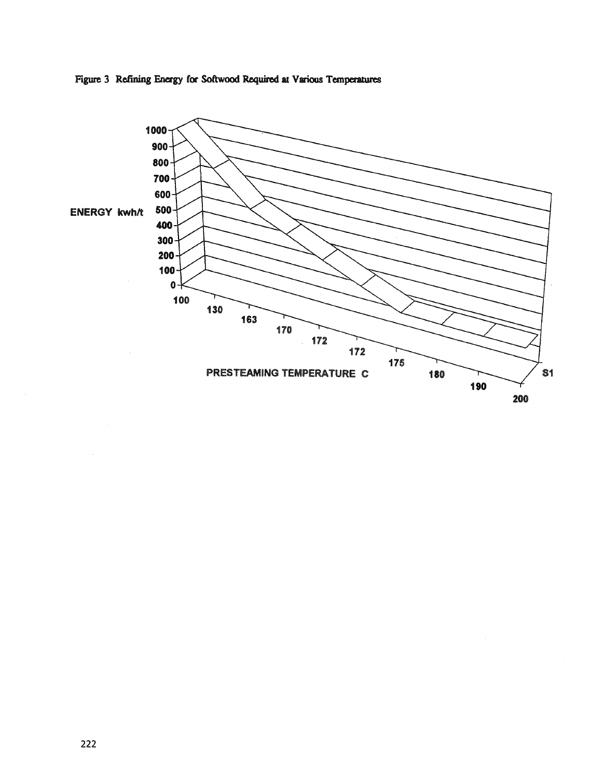

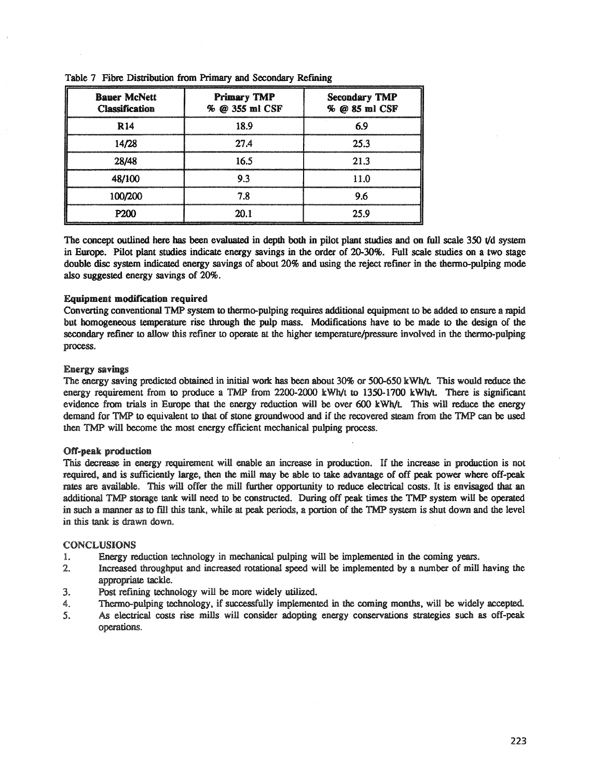| <b>Bauer McNett</b><br><b>Classification</b> | <b>Primary TMP</b><br>% @ 355 ml CSF | <b>Secondary TMP</b><br>% @ 85 ml CSF |  |
|----------------------------------------------|--------------------------------------|---------------------------------------|--|
| R 14                                         | 18.9                                 | 69                                    |  |
| 14/28                                        | 27.4                                 | 25.3                                  |  |
| 28/48                                        | 16.5                                 | 21.3                                  |  |
| 48/100                                       | 93                                   | 11 O                                  |  |
| 100/200                                      | 7.8                                  | 96                                    |  |
| P200                                         | 20.1                                 | 25.9                                  |  |

|  |  | Table 7 Fibre Distribution from Primary and Secondary Refining |  |  |  |  |  |
|--|--|----------------------------------------------------------------|--|--|--|--|--|
|--|--|----------------------------------------------------------------|--|--|--|--|--|

The concept outlined here has been evaluated in depth both in pilot plant studies and on full scale 350 t/d system in Europe. Pilot plant studies indicate energy savings in the order of 20-30%. Full scale studies on a· two stage double disc system indicated energy savings of about 20% and using the reject refiner in the thermo-pulping mode also suggested energy savings of 20%.

## Equipment modification required

Converting conventional TMP system to thermo-pulping requires additional equipment to be added to ensure a rapid but homogeneous temperature rise through the pulp mass. Modifications have to be made to the design of the secondary refiner to allow this refiner to operate at the higher temperature/pressure involved in the thermo-pulping process..

### Energy savings

The energy saving predicted obtained in initial work has been about 30% or 500-650 kWh/t. This would reduce the energy requirement from to produce a TMP from 2200-2000 kWh/t to 1350-1700 kWh/t. There is significant evidence from trials in Europe that the energy reduction will be over 600 kWh/t This will reduce the energy demand for TMP to equivalent to that of stone groundwood and if the recovered steam from the TMP can be used then TMP will become the most energy efficient mechanical pulping process.

### Off-peak production.

This decrease in energy requirement will enable an increase in production. If the increase in production is not required, and is sufficiently large, then the mill may be able to take advantage of off peak power where off-peak rates are available,. This will offer the mill further opportunity to reduce electrical costs. It is envisaged that an additional TMP storage tank will need to be constructed.. During off peak times the TMP system will be operated in such a manner as to fIll this tank, while at peak periods, a portion of the TMP system is shut down and the level in this tank is drawn down.

#### CONCLUSIONS

- 1. Energy reduction technology in mechanical pulping will be implemented in the coming years.
- 2.. Increased throughput and increased rotational speed will be implemented by a number of mill having the appropriate tackle.
- 3.. Post refining technology will be more widely utilized.
- 4. Thermo-pulping technology, if successfully implemented in the coming months, will be widely accepted.
- 5.. As electrical costs rise mills will consider adopting energy conservations strategies such as off-peak operations..